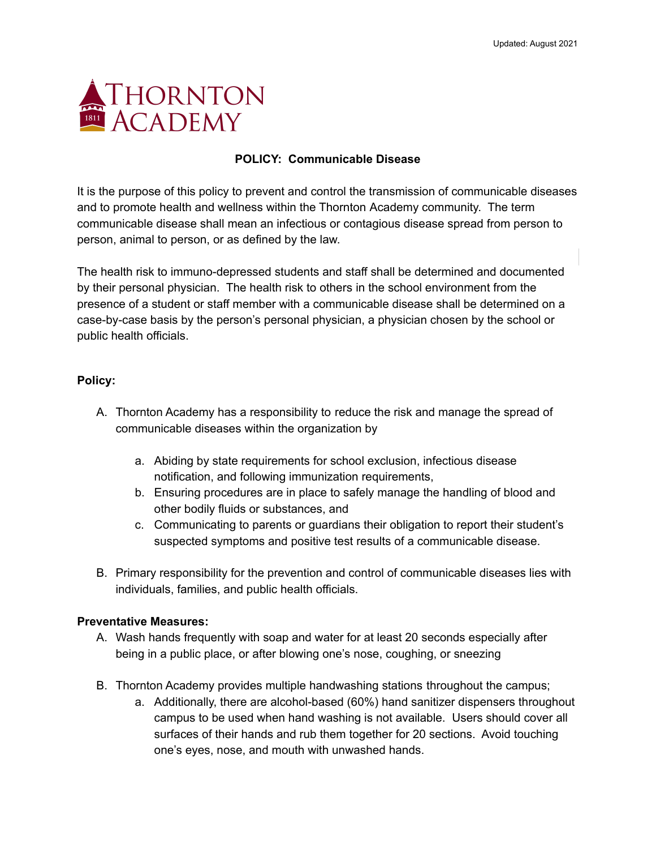

### **POLICY: Communicable Disease**

It is the purpose of this policy to prevent and control the transmission of communicable diseases and to promote health and wellness within the Thornton Academy community. The term communicable disease shall mean an infectious or contagious disease spread from person to person, animal to person, or as defined by the law.

The health risk to immuno-depressed students and staff shall be determined and documented by their personal physician. The health risk to others in the school environment from the presence of a student or staff member with a communicable disease shall be determined on a case-by-case basis by the person's personal physician, a physician chosen by the school or public health officials.

### **Policy:**

- A. Thornton Academy has a responsibility to reduce the risk and manage the spread of communicable diseases within the organization by
	- a. Abiding by state requirements for school exclusion, infectious disease notification, and following immunization requirements,
	- b. Ensuring procedures are in place to safely manage the handling of blood and other bodily fluids or substances, and
	- c. Communicating to parents or guardians their obligation to report their student's suspected symptoms and positive test results of a communicable disease.
- B. Primary responsibility for the prevention and control of communicable diseases lies with individuals, families, and public health officials.

### **Preventative Measures:**

- A. Wash hands frequently with soap and water for at least 20 seconds especially after being in a public place, or after blowing one's nose, coughing, or sneezing
- B. Thornton Academy provides multiple handwashing stations throughout the campus;
	- a. Additionally, there are alcohol-based (60%) hand sanitizer dispensers throughout campus to be used when hand washing is not available. Users should cover all surfaces of their hands and rub them together for 20 sections. Avoid touching one's eyes, nose, and mouth with unwashed hands.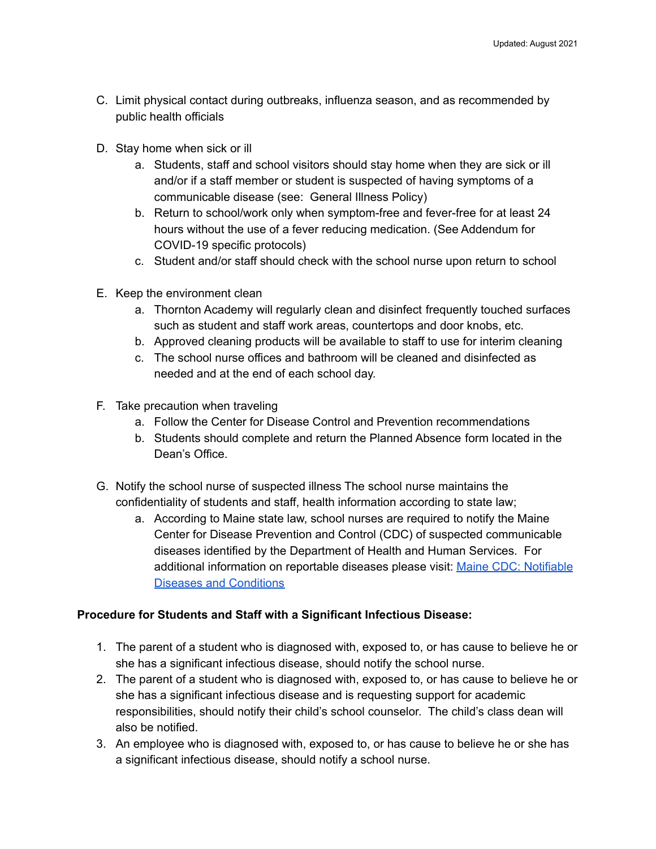- C. Limit physical contact during outbreaks, influenza season, and as recommended by public health officials
- D. Stay home when sick or ill
	- a. Students, staff and school visitors should stay home when they are sick or ill and/or if a staff member or student is suspected of having symptoms of a communicable disease (see: General Illness Policy)
	- b. Return to school/work only when symptom-free and fever-free for at least 24 hours without the use of a fever reducing medication. (See Addendum for COVID-19 specific protocols)
	- c. Student and/or staff should check with the school nurse upon return to school
- E. Keep the environment clean
	- a. Thornton Academy will regularly clean and disinfect frequently touched surfaces such as student and staff work areas, countertops and door knobs, etc.
	- b. Approved cleaning products will be available to staff to use for interim cleaning
	- c. The school nurse offices and bathroom will be cleaned and disinfected as needed and at the end of each school day.
- F. Take precaution when traveling
	- a. Follow the Center for Disease Control and Prevention recommendations
	- b. Students should complete and return the Planned Absence form located in the Dean's Office.
- G. Notify the school nurse of suspected illness The school nurse maintains the confidentiality of students and staff, health information according to state law;
	- a. According to Maine state law, school nurses are required to notify the Maine Center for Disease Prevention and Control (CDC) of suspected communicable diseases identified by the Department of Health and Human Services. For additional information on reportable diseases please visit: Maine CDC: [Notifiable](https://www.maine.gov/dhhs/mecdc/infectious-disease/epi/disease-reporting/documents/notifiable-list.pdf) Diseases and [Conditions](https://www.maine.gov/dhhs/mecdc/infectious-disease/epi/disease-reporting/documents/notifiable-list.pdf)

## **Procedure for Students and Staff with a Significant Infectious Disease:**

- 1. The parent of a student who is diagnosed with, exposed to, or has cause to believe he or she has a significant infectious disease, should notify the school nurse.
- 2. The parent of a student who is diagnosed with, exposed to, or has cause to believe he or she has a significant infectious disease and is requesting support for academic responsibilities, should notify their child's school counselor. The child's class dean will also be notified.
- 3. An employee who is diagnosed with, exposed to, or has cause to believe he or she has a significant infectious disease, should notify a school nurse.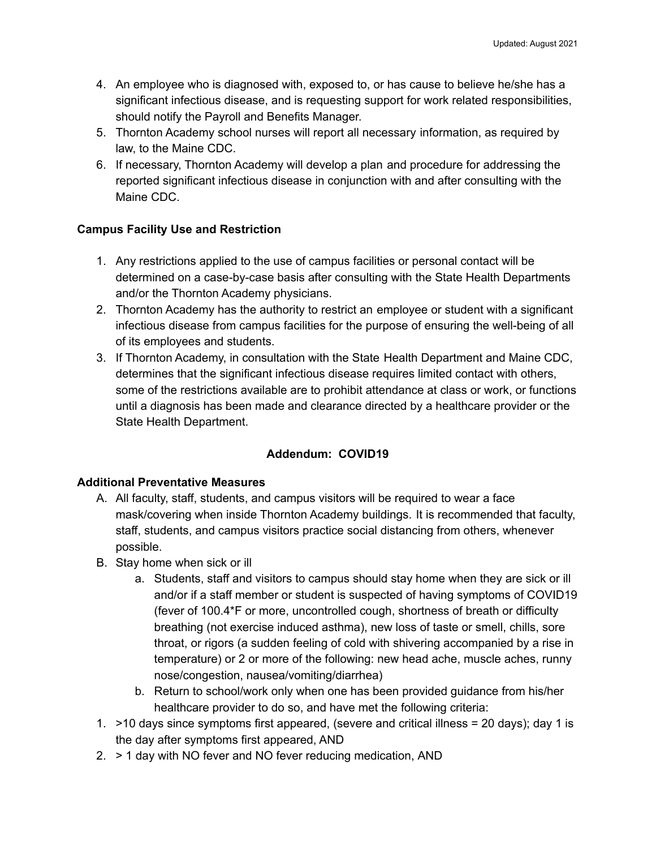- 4. An employee who is diagnosed with, exposed to, or has cause to believe he/she has a significant infectious disease, and is requesting support for work related responsibilities, should notify the Payroll and Benefits Manager.
- 5. Thornton Academy school nurses will report all necessary information, as required by law, to the Maine CDC.
- 6. If necessary, Thornton Academy will develop a plan and procedure for addressing the reported significant infectious disease in conjunction with and after consulting with the Maine CDC.

## **Campus Facility Use and Restriction**

- 1. Any restrictions applied to the use of campus facilities or personal contact will be determined on a case-by-case basis after consulting with the State Health Departments and/or the Thornton Academy physicians.
- 2. Thornton Academy has the authority to restrict an employee or student with a significant infectious disease from campus facilities for the purpose of ensuring the well-being of all of its employees and students.
- 3. If Thornton Academy, in consultation with the State Health Department and Maine CDC, determines that the significant infectious disease requires limited contact with others, some of the restrictions available are to prohibit attendance at class or work, or functions until a diagnosis has been made and clearance directed by a healthcare provider or the State Health Department.

# **Addendum: COVID19**

## **Additional Preventative Measures**

- A. All faculty, staff, students, and campus visitors will be required to wear a face mask/covering when inside Thornton Academy buildings. It is recommended that faculty, staff, students, and campus visitors practice social distancing from others, whenever possible.
- B. Stay home when sick or ill
	- a. Students, staff and visitors to campus should stay home when they are sick or ill and/or if a staff member or student is suspected of having symptoms of COVID19 (fever of 100.4\*F or more, uncontrolled cough, shortness of breath or difficulty breathing (not exercise induced asthma), new loss of taste or smell, chills, sore throat, or rigors (a sudden feeling of cold with shivering accompanied by a rise in temperature) or 2 or more of the following: new head ache, muscle aches, runny nose/congestion, nausea/vomiting/diarrhea)
	- b. Return to school/work only when one has been provided guidance from his/her healthcare provider to do so, and have met the following criteria:
- 1. >10 days since symptoms first appeared, (severe and critical illness = 20 days); day 1 is the day after symptoms first appeared, AND
- 2. > 1 day with NO fever and NO fever reducing medication, AND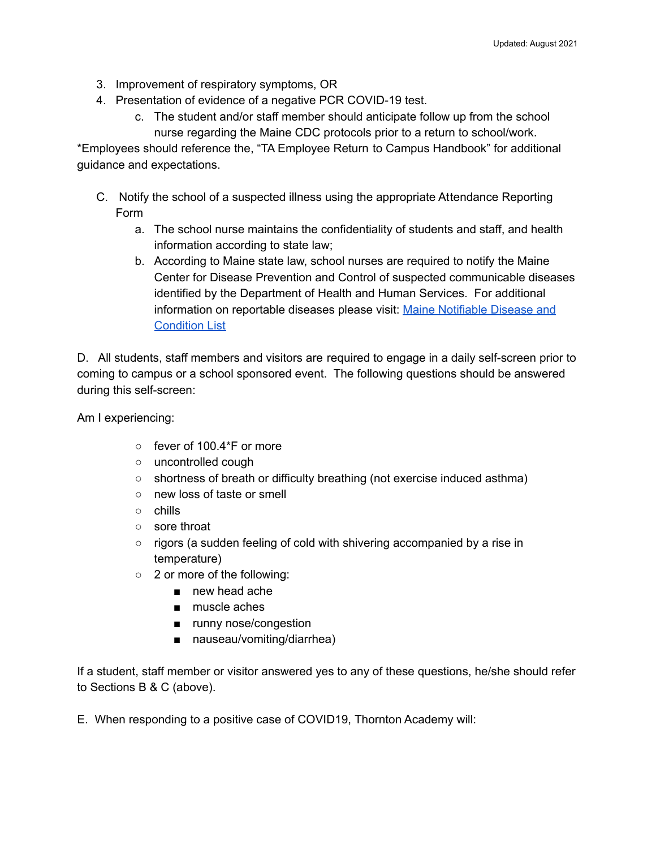- 3. Improvement of respiratory symptoms, OR
- 4. Presentation of evidence of a negative PCR COVID-19 test.
	- c. The student and/or staff member should anticipate follow up from the school nurse regarding the Maine CDC protocols prior to a return to school/work.

\*Employees should reference the, "TA Employee Return to Campus Handbook" for additional guidance and expectations.

- C. Notify the school of a suspected illness using the appropriate Attendance Reporting Form
	- a. The school nurse maintains the confidentiality of students and staff, and health information according to state law;
	- b. According to Maine state law, school nurses are required to notify the Maine Center for Disease Prevention and Control of suspected communicable diseases identified by the Department of Health and Human Services. For additional information on reportable diseases please visit: Maine [Notifiable](https://www.maine.gov/dhhs/mecdc/infectious-disease/epi/disease-reporting/documents/notifiable-list.pdf) Disease and [Condition](https://www.maine.gov/dhhs/mecdc/infectious-disease/epi/disease-reporting/documents/notifiable-list.pdf) List

D. All students, staff members and visitors are required to engage in a daily self-screen prior to coming to campus or a school sponsored event. The following questions should be answered during this self-screen:

Am I experiencing:

- fever of 100.4\*F or more
- uncontrolled cough
- shortness of breath or difficulty breathing (not exercise induced asthma)
- new loss of taste or smell
- chills
- sore throat
- rigors (a sudden feeling of cold with shivering accompanied by a rise in temperature)
- 2 or more of the following:
	- new head ache
	- muscle aches
	- runny nose/congestion
	- nauseau/vomiting/diarrhea)

If a student, staff member or visitor answered yes to any of these questions, he/she should refer to Sections B & C (above).

E. When responding to a positive case of COVID19, Thornton Academy will: